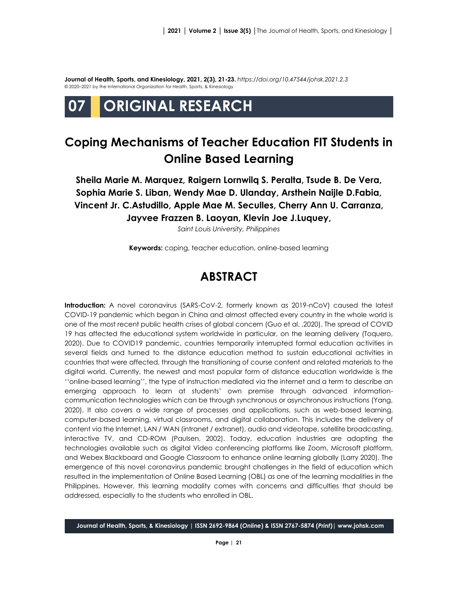**Journal of Health, Sports, and Kinesiology, 2021, 2(3), 21-23.** *<https://doi.org/10.47544/johsk.2021.2.3>* © 2020–2021 by the International Organization for Health, Sports, & Kinesiology

# **07 ORIGINAL RESEARCH**

# **Coping Mechanisms of Teacher Education FIT Students in Online Based Learning**

**Sheila Marie M. Marquez, Raigern Lornwilq S. Peralta, Tsude B. De Vera, Sophia Marie S. Liban, Wendy Mae D. Ulanday, Arsthein Naijle D.Fabia, Vincent Jr. C.Astudillo, Apple Mae M. Seculles, Cherry Ann U. Carranza, Jayvee Frazzen B. Laoyan, Klevin Joe J.Luquey,** 

*Saint Louis University, Philippines*

**Keywords:** coping, teacher education, online-based learning

### **ABSTRACT**

**Introduction:** A novel coronavirus (SARS-CoV-2, formerly known as 2019-nCoV) caused the latest COVID-19 pandemic which began in China and almost affected every country in the whole world is one of the most recent public health crises of global concern (Guo et al. ,2020). The spread of COVID 19 has affected the educational system worldwide in particular, on the learning delivery (Toquero, 2020). Due to COVID19 pandemic, countries temporarily interrupted formal education activities in several fields and turned to the distance education method to sustain educational activities in countries that were affected, through the transitioning of course content and related materials to the digital world. Currently, the newest and most popular form of distance education worldwide is the ''online-based learning'', the type of instruction mediated via the internet and a term to describe an emerging approach to learn at students' own premise through advanced informationcommunication technologies which can be through synchronous or asynchronous instructions (Yang, 2020). It also covers a wide range of processes and applications, such as web-based learning, computer-based learning, virtual classrooms, and digital collaboration. This includes the delivery of content via the Internet, LAN / WAN (intranet / extranet), audio and videotape, satellite broadcasting, interactive TV, and CD-ROM (Paulsen, 2002). Today, education industries are adopting the technologies available such as digital Video conferencing platforms like Zoom, Microsoft platform, and Webex Blackboard and Google Classroom to enhance online learning globally (Larry 2020). The emergence of this novel coronavirus pandemic brought challenges in the field of education which resulted in the implementation of Online Based Learning (OBL) as one of the learning modalities in the Philippines. However, this learning modality comes with concerns and difficulties that should be addressed, especially to the students who enrolled in OBL.

**Journal of Health, Sports, & Kinesiology | ISSN 2692-9864 (***Online***) & ISSN 2767-5874 (***Print***)| www.johsk.com**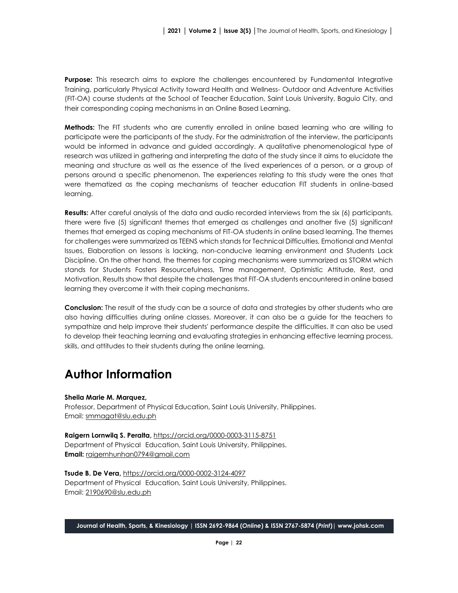**Purpose:** This research aims to explore the challenges encountered by Fundamental Integrative Training, particularly Physical Activity toward Health and Wellness- Outdoor and Adventure Activities (FIT-OA) course students at the School of Teacher Education, Saint Louis University, Baguio City, and their corresponding coping mechanisms in an Online Based Learning.

**Methods:** The FIT students who are currently enrolled in online based learning who are willing to participate were the participants of the study. For the administration of the interview, the participants would be informed in advance and guided accordingly. A qualitative phenomenological type of research was utilized in gathering and interpreting the data of the study since it aims to elucidate the meaning and structure as well as the essence of the lived experiences of a person, or a group of persons around a specific phenomenon. The experiences relating to this study were the ones that were thematized as the coping mechanisms of teacher education FIT students in online-based learning.

**Results:** After careful analysis of the data and audio recorded interviews from the six (6) participants, there were five (5) significant themes that emerged as challenges and another five (5) significant themes that emerged as coping mechanisms of FIT-OA students in online based learning. The themes for challenges were summarized as TEENS which stands for Technical Difficulties, Emotional and Mental Issues, Elaboration on lessons is lacking, non-conducive learning environment and Students Lack Discipline. On the other hand, the themes for coping mechanisms were summarized as STORM which stands for Students Fosters Resourcefulness, Time management, Optimistic Attitude, Rest, and Motivation. Results show that despite the challenges that FIT-OA students encountered in online based learning they overcome it with their coping mechanisms.

**Conclusion:** The result of the study can be a source of data and strategies by other students who are also having difficulties during online classes. Moreover, it can also be a guide for the teachers to sympathize and help improve their students' performance despite the difficulties. It can also be used to develop their teaching learning and evaluating strategies in enhancing effective learning process, skills, and attitudes to their students during the online learning.

## **Author Information**

#### **Sheila Marie M. Marquez,**

Professor, Department of Physical Education, Saint Louis University, Philippines. Email: [smmagat@slu.edu.ph](mailto:smmagat@slu.edu.ph)

**Raigern Lornwilq S. Peralta,** <https://orcid.org/0000-0003-3115-8751> Department of Physical Education, Saint Louis University, Philippines. **Email:** [raigernhunhan0794@gmail.com](mailto:raigernhunhan0794@gmail.com)

**Tsude B. De Vera,** <https://orcid.org/0000-0002-3124-4097> Department of Physical Education, Saint Louis University, Philippines. Email: [2190690@slu.edu.ph](mailto:2190690@slu.edu.ph)